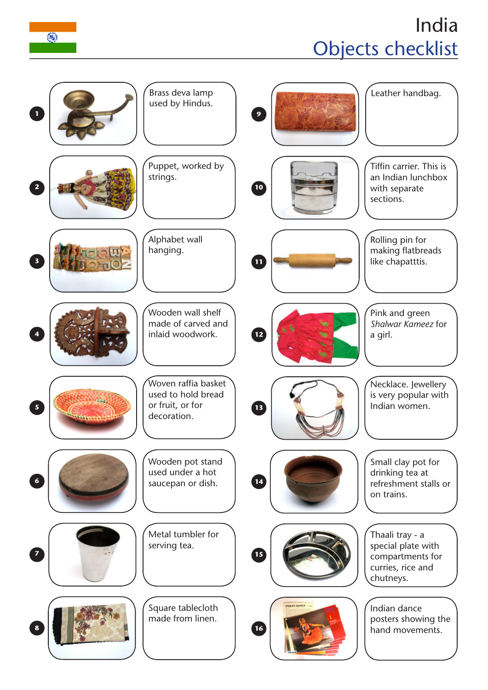## India Objects checklist